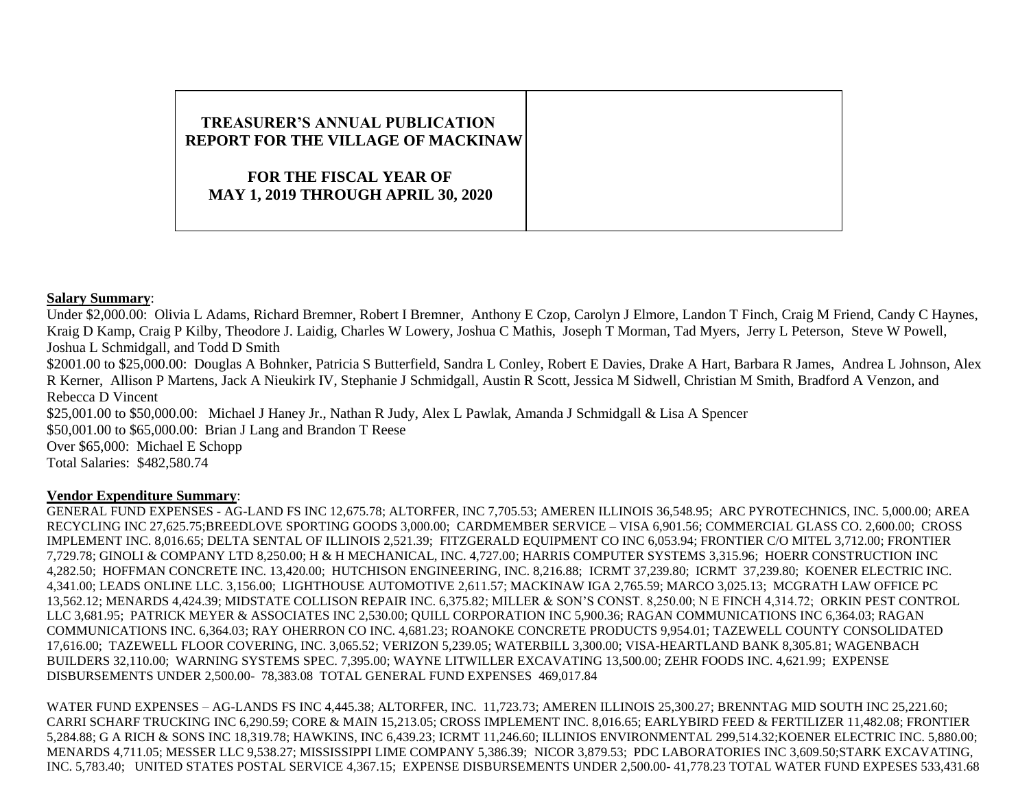## **TREASURER'S ANNUAL PUBLICATION REPORT FOR THE VILLAGE OF MACKINAW FOR THE FISCAL YEAR OF MAY 1, 2019 THROUGH APRIL 30, 2020**

## **Salary Summary**:

Under \$2,000.00: Olivia L Adams, Richard Bremner, Robert I Bremner, Anthony E Czop, Carolyn J Elmore, Landon T Finch, Craig M Friend, Candy C Haynes, Kraig D Kamp, Craig P Kilby, Theodore J. Laidig, Charles W Lowery, Joshua C Mathis, Joseph T Morman, Tad Myers, Jerry L Peterson, Steve W Powell, Joshua L Schmidgall, and Todd D Smith \$2001.00 to \$25,000.00: Douglas A Bohnker, Patricia S Butterfield, Sandra L Conley, Robert E Davies, Drake A Hart, Barbara R James, Andrea L Johnson, Alex R Kerner, Allison P Martens, Jack A Nieukirk IV, Stephanie J Schmidgall, Austin R Scott, Jessica M Sidwell, Christian M Smith, Bradford A Venzon, and Rebecca D Vincent \$25,001.00 to \$50,000.00: Michael J Haney Jr., Nathan R Judy, Alex L Pawlak, Amanda J Schmidgall & Lisa A Spencer \$50,001.00 to \$65,000.00: Brian J Lang and Brandon T Reese Over \$65,000: Michael E Schopp

Total Salaries: \$482,580.74

## **Vendor Expenditure Summary**:

GENERAL FUND EXPENSES - AG-LAND FS INC 12,675.78; ALTORFER, INC 7,705.53; AMEREN ILLINOIS 36,548.95; ARC PYROTECHNICS, INC. 5,000.00; AREA RECYCLING INC 27,625.75;BREEDLOVE SPORTING GOODS 3,000.00; CARDMEMBER SERVICE – VISA 6,901.56; COMMERCIAL GLASS CO. 2,600.00; CROSS IMPLEMENT INC. 8,016.65; DELTA SENTAL OF ILLINOIS 2,521.39; FITZGERALD EQUIPMENT CO INC 6,053.94; FRONTIER C/O MITEL 3,712.00; FRONTIER 7,729.78; GINOLI & COMPANY LTD 8,250.00; H & H MECHANICAL, INC. 4,727.00; HARRIS COMPUTER SYSTEMS 3,315.96; HOERR CONSTRUCTION INC 4,282.50; HOFFMAN CONCRETE INC. 13,420.00; HUTCHISON ENGINEERING, INC. 8,216.88; ICRMT 37,239.80; ICRMT 37,239.80; KOENER ELECTRIC INC. 4,341.00; LEADS ONLINE LLC. 3,156.00; LIGHTHOUSE AUTOMOTIVE 2,611.57; MACKINAW IGA 2,765.59; MARCO 3,025.13; MCGRATH LAW OFFICE PC 13,562.12; MENARDS 4,424.39; MIDSTATE COLLISON REPAIR INC. 6,375.82; MILLER & SON'S CONST. 8,250.00; N E FINCH 4,314.72; ORKIN PEST CONTROL LLC 3,681.95; PATRICK MEYER & ASSOCIATES INC 2,530.00; QUILL CORPORATION INC 5,900.36; RAGAN COMMUNICATIONS INC 6,364.03; RAGAN COMMUNICATIONS INC. 6,364.03; RAY OHERRON CO INC. 4,681.23; ROANOKE CONCRETE PRODUCTS 9,954.01; TAZEWELL COUNTY CONSOLIDATED 17,616.00; TAZEWELL FLOOR COVERING, INC. 3,065.52; VERIZON 5,239.05; WATERBILL 3,300.00; VISA-HEARTLAND BANK 8,305.81; WAGENBACH BUILDERS 32,110.00; WARNING SYSTEMS SPEC. 7,395.00; WAYNE LITWILLER EXCAVATING 13,500.00; ZEHR FOODS INC. 4,621.99; EXPENSE DISBURSEMENTS UNDER 2,500.00- 78,383.08 TOTAL GENERAL FUND EXPENSES 469,017.84

WATER FUND EXPENSES – AG-LANDS FS INC 4,445.38; ALTORFER, INC. 11,723.73; AMEREN ILLINOIS 25,300.27; BRENNTAG MID SOUTH INC 25,221.60; CARRI SCHARF TRUCKING INC 6,290.59; CORE & MAIN 15,213.05; CROSS IMPLEMENT INC. 8,016.65; EARLYBIRD FEED & FERTILIZER 11,482.08; FRONTIER 5,284.88; G A RICH & SONS INC 18,319.78; HAWKINS, INC 6,439.23; ICRMT 11,246.60; ILLINIOS ENVIRONMENTAL 299,514.32;KOENER ELECTRIC INC. 5,880.00; MENARDS 4,711.05; MESSER LLC 9,538.27; MISSISSIPPI LIME COMPANY 5,386.39; NICOR 3,879.53; PDC LABORATORIES INC 3,609.50;STARK EXCAVATING, INC. 5,783.40; UNITED STATES POSTAL SERVICE 4,367.15; EXPENSE DISBURSEMENTS UNDER 2,500.00- 41,778.23 TOTAL WATER FUND EXPESES 533,431.68